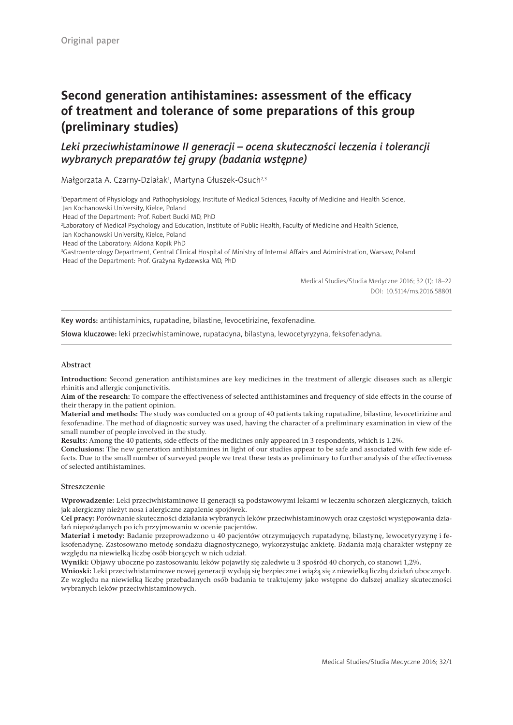# **Second generation antihistamines: assessment of the efficacy of treatment and tolerance of some preparations of this group (preliminary studies)**

## *Leki przeciwhistaminowe II generacji – ocena skuteczności leczenia i tolerancji wybranych preparatów tej grupy (badania wstępne)*

Małgorzata A. Czarny-Działak<sup>1</sup>, Martyna Głuszek-Osuch<sup>2,3</sup>

1 Department of Physiology and Pathophysiology, Institute of Medical Sciences, Faculty of Medicine and Health Science, Jan Kochanowski University, Kielce, Poland

Head of the Department: Prof. Robert Bucki MD, PhD

2 Laboratory of Medical Psychology and Education, Institute of Public Health, Faculty of Medicine and Health Science,

Jan Kochanowski University, Kielce, Poland

Head of the Laboratory: Aldona Kopik PhD

3 Gastroenterology Department, Central Clinical Hospital of Ministry of Internal Affairs and Administration, Warsaw, Poland Head of the Department: Prof. Grażyna Rydzewska MD, PhD

> Medical Studies/Studia Medyczne 2016; 32 (1): 18–22 DOI: 10.5114/ms.2016.58801

Key words: antihistaminics, rupatadine, bilastine, levocetirizine, fexofenadine.

Słowa kluczowe: leki przeciwhistaminowe, rupatadyna, bilastyna, lewocetyryzyna, feksofenadyna.

### Abstract

**Introduction:** Second generation antihistamines are key medicines in the treatment of allergic diseases such as allergic rhinitis and allergic conjunctivitis.

**Aim of the research:** To compare the effectiveness of selected antihistamines and frequency of side effects in the course of their therapy in the patient opinion.

**Material and methods:** The study was conducted on a group of 40 patients taking rupatadine, bilastine, levocetirizine and fexofenadine. The method of diagnostic survey was used, having the character of a preliminary examination in view of the small number of people involved in the study.

**Results:** Among the 40 patients, side effects of the medicines only appeared in 3 respondents, which is 1.2%.

**Conclusions:** The new generation antihistamines in light of our studies appear to be safe and associated with few side effects. Due to the small number of surveyed people we treat these tests as preliminary to further analysis of the effectiveness of selected antihistamines.

### Streszczenie

**Wprowadzenie:** Leki przeciwhistaminowe II generacji są podstawowymi lekami w leczeniu schorzeń alergicznych, takich jak alergiczny nieżyt nosa i alergiczne zapalenie spojówek.

**Cel pracy:** Porównanie skuteczności działania wybranych leków przeciwhistaminowych oraz częstości występowania działań niepożądanych po ich przyjmowaniu w ocenie pacjentów.

**Materiał i metody:** Badanie przeprowadzono u 40 pacjentów otrzymujących rupatadynę, bilastynę, lewocetyryzynę i feksofenadynę. Zastosowano metodę sondażu diagnostycznego, wykorzystując ankietę. Badania mają charakter wstępny ze względu na niewielką liczbę osób biorących w nich udział.

**Wyniki:** Objawy uboczne po zastosowaniu leków pojawiły się zaledwie u 3 spośród 40 chorych, co stanowi 1,2%.

**Wnioski:** Leki przeciwhistaminowe nowej generacji wydają się bezpieczne i wiążą się z niewielką liczbą działań ubocznych. Ze względu na niewielką liczbę przebadanych osób badania te traktujemy jako wstępne do dalszej analizy skuteczności wybranych leków przeciwhistaminowych.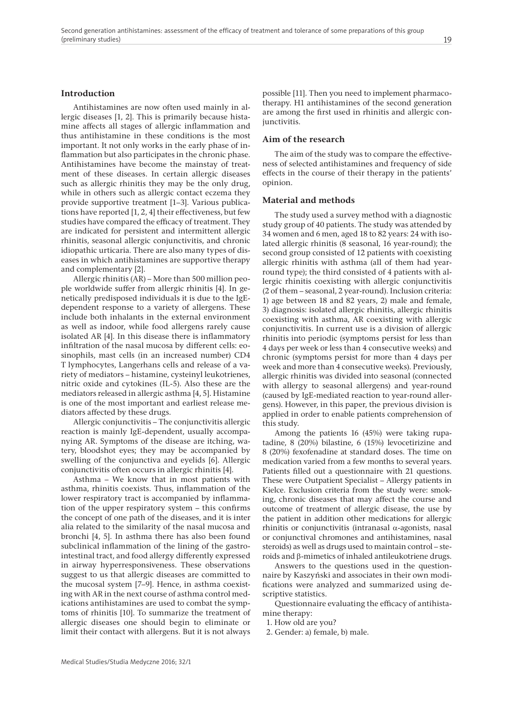### **Introduction**

Antihistamines are now often used mainly in allergic diseases [1, 2]. This is primarily because histamine affects all stages of allergic inflammation and thus antihistamine in these conditions is the most important. It not only works in the early phase of inflammation but also participates in the chronic phase. Antihistamines have become the mainstay of treatment of these diseases. In certain allergic diseases such as allergic rhinitis they may be the only drug, while in others such as allergic contact eczema they provide supportive treatment [1–3]. Various publications have reported [1, 2, 4] their effectiveness, but few studies have compared the efficacy of treatment. They are indicated for persistent and intermittent allergic rhinitis, seasonal allergic conjunctivitis, and chronic idiopathic urticaria. There are also many types of diseases in which antihistamines are supportive therapy and complementary [2].

Allergic rhinitis (AR) – More than 500 million people worldwide suffer from allergic rhinitis [4]. In genetically predisposed individuals it is due to the IgEdependent response to a variety of allergens. These include both inhalants in the external environment as well as indoor, while food allergens rarely cause isolated AR [4]. In this disease there is inflammatory infiltration of the nasal mucosa by different cells: eosinophils, mast cells (in an increased number) CD4 T lymphocytes, Langerhans cells and release of a variety of mediators – histamine, cysteinyl leukotrienes, nitric oxide and cytokines (IL-5). Also these are the mediators released in allergic asthma [4, 5]. Histamine is one of the most important and earliest release mediators affected by these drugs.

Allergic conjunctivitis – The conjunctivitis allergic reaction is mainly IgE-dependent, usually accompanying AR. Symptoms of the disease are itching, watery, bloodshot eyes; they may be accompanied by swelling of the conjunctiva and eyelids [6]. Allergic conjunctivitis often occurs in allergic rhinitis [4].

Asthma – We know that in most patients with asthma, rhinitis coexists. Thus, inflammation of the lower respiratory tract is accompanied by inflammation of the upper respiratory system – this confirms the concept of one path of the diseases, and it is inter alia related to the similarity of the nasal mucosa and bronchi [4, 5]. In asthma there has also been found subclinical inflammation of the lining of the gastrointestinal tract, and food allergy differently expressed in airway hyperresponsiveness. These observations suggest to us that allergic diseases are committed to the mucosal system [7–9]. Hence, in asthma coexisting with AR in the next course of asthma control medications antihistamines are used to combat the symptoms of rhinitis [10]. To summarize the treatment of allergic diseases one should begin to eliminate or limit their contact with allergens. But it is not always

possible [11]. Then you need to implement pharmacotherapy. H1 antihistamines of the second generation are among the first used in rhinitis and allergic conjunctivitis.

### **Aim of the research**

The aim of the study was to compare the effectiveness of selected antihistamines and frequency of side effects in the course of their therapy in the patients' opinion.

### **Material and methods**

The study used a survey method with a diagnostic study group of 40 patients. The study was attended by 34 women and 6 men, aged 18 to 82 years: 24 with isolated allergic rhinitis (8 seasonal, 16 year-round); the second group consisted of 12 patients with coexisting allergic rhinitis with asthma (all of them had yearround type); the third consisted of 4 patients with allergic rhinitis coexisting with allergic conjunctivitis (2 of them – seasonal, 2 year-round). Inclusion criteria: 1) age between 18 and 82 years, 2) male and female, 3) diagnosis: isolated allergic rhinitis, allergic rhinitis coexisting with asthma, AR coexisting with allergic conjunctivitis. In current use is a division of allergic rhinitis into periodic (symptoms persist for less than 4 days per week or less than 4 consecutive weeks) and chronic (symptoms persist for more than 4 days per week and more than 4 consecutive weeks). Previously, allergic rhinitis was divided into seasonal (connected with allergy to seasonal allergens) and year-round (caused by IgE-mediated reaction to year-round allergens). However, in this paper, the previous division is applied in order to enable patients comprehension of this study.

Among the patients 16 (45%) were taking rupatadine, 8 (20%) bilastine, 6 (15%) levocetirizine and 8 (20%) fexofenadine at standard doses. The time on medication varied from a few months to several years. Patients filled out a questionnaire with 21 questions. These were Outpatient Specialist – Allergy patients in Kielce. Exclusion criteria from the study were: smoking, chronic diseases that may affect the course and outcome of treatment of allergic disease, the use by the patient in addition other medications for allergic rhinitis or conjunctivitis (intranasal α-agonists, nasal or conjunctival chromones and antihistamines, nasal steroids) as well as drugs used to maintain control – ste $r$ oids and  $\beta$ -mimetics of inhaled antileukotriene drugs.

Answers to the questions used in the questionnaire by Kaszyński and associates in their own modifications were analyzed and summarized using descriptive statistics.

Questionnaire evaluating the efficacy of antihistamine therapy:

1. How old are you?

2. Gender: a) female, b) male.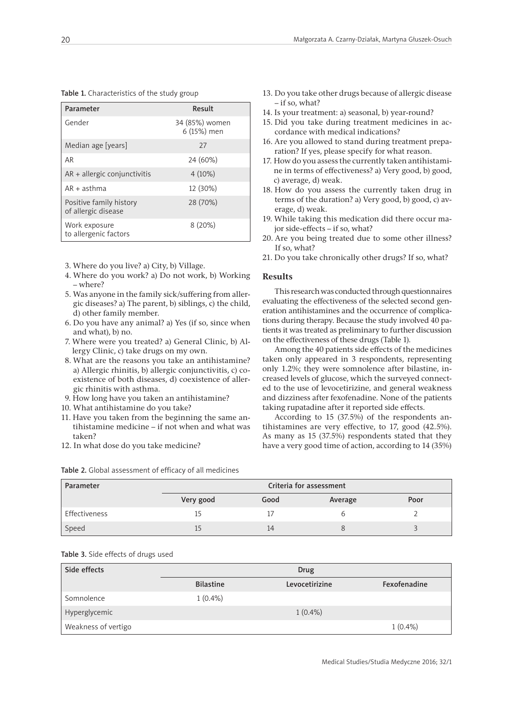| Table 1. Characteristics of the study group |  |
|---------------------------------------------|--|
|---------------------------------------------|--|

| Parameter                                      | Result                        |
|------------------------------------------------|-------------------------------|
| Gender                                         | 34 (85%) women<br>6 (15%) men |
| Median age [years]                             | 27                            |
| AR                                             | 24 (60%)                      |
| $AR +$ allergic conjunctivitis                 | 4(10%)                        |
| $AR + a$ sthma                                 | 12 (30%)                      |
| Positive family history<br>of allergic disease | 28 (70%)                      |
| Work exposure<br>to allergenic factors         | 8(20%)                        |

- 3. Where do you live? a) City, b) Village.
- 4. Where do you work? a) Do not work, b) Working – where?
- 5. Was anyone in the family sick/suffering from allergic diseases? a) The parent, b) siblings, c) the child, d) other family member.
- 6. Do you have any animal? a) Yes (if so, since when and what), b) no.
- 7. Where were you treated? a) General Clinic, b) Allergy Clinic, c) take drugs on my own.
- 8. What are the reasons you take an antihistamine? a) Allergic rhinitis, b) allergic conjunctivitis, c) coexistence of both diseases, d) coexistence of allergic rhinitis with asthma.
- 9. How long have you taken an antihistamine?
- 10. What antihistamine do you take?
- 11. Have you taken from the beginning the same antihistamine medicine – if not when and what was taken?
- 12. In what dose do you take medicine?

| Parameter     | Criteria for assessment |      |         |      |
|---------------|-------------------------|------|---------|------|
|               | Very good               | Good | Average | Poor |
| Effectiveness |                         |      |         |      |
| Speed         |                         | 14   |         |      |

Table 2. Global assessment of efficacy of all medicines

- 14. Is your treatment: a) seasonal, b) year-round?
- 15. Did you take during treatment medicines in accordance with medical indications?
- 16. Are you allowed to stand during treatment preparation? If yes, please specify for what reason.
- 17. How do you assess the currently taken antihistamine in terms of effectiveness? a) Very good, b) good, c) average, d) weak.
- 18. How do you assess the currently taken drug in terms of the duration? a) Very good, b) good, c) average, d) weak.
- 19. While taking this medication did there occur major side-effects – if so, what?
- 20. Are you being treated due to some other illness? If so, what?
- 21. Do you take chronically other drugs? If so, what?

### **Results**

This research was conducted through questionnaires evaluating the effectiveness of the selected second generation antihistamines and the occurrence of complications during therapy. Because the study involved 40 patients it was treated as preliminary to further discussion on the effectiveness of these drugs (Table 1).

Among the 40 patients side effects of the medicines taken only appeared in 3 respondents, representing only 1.2%; they were somnolence after bilastine, increased levels of glucose, which the surveyed connected to the use of levocetirizine, and general weakness and dizziness after fexofenadine. None of the patients taking rupatadine after it reported side effects.

According to 15 (37.5%) of the respondents antihistamines are very effective, to 17, good (42.5%). As many as 15 (37.5%) respondents stated that they have a very good time of action, according to 14 (35%)

| Table 3. Side effects of drugs used |  |
|-------------------------------------|--|
|-------------------------------------|--|

| Side effects        | Drug             |                |              |
|---------------------|------------------|----------------|--------------|
|                     | <b>Bilastine</b> | Levocetirizine | Fexofenadine |
| Somnolence          | $1(0.4\%)$       |                |              |
| Hyperglycemic       |                  | $1(0.4\%)$     |              |
| Weakness of vertigo |                  |                | $1(0.4\%)$   |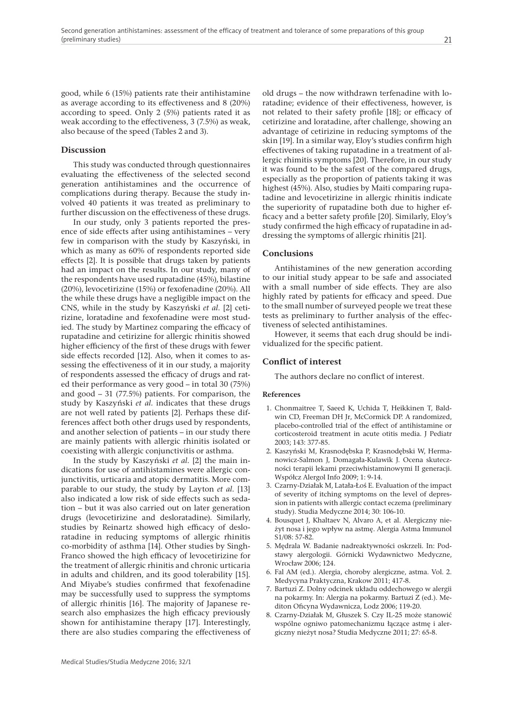good, while 6 (15%) patients rate their antihistamine as average according to its effectiveness and 8 (20%) according to speed. Only 2 (5%) patients rated it as weak according to the effectiveness, 3 (7.5%) as weak, also because of the speed (Tables 2 and 3).

### **Discussion**

This study was conducted through questionnaires evaluating the effectiveness of the selected second generation antihistamines and the occurrence of complications during therapy. Because the study involved 40 patients it was treated as preliminary to further discussion on the effectiveness of these drugs.

In our study, only 3 patients reported the presence of side effects after using antihistamines – very few in comparison with the study by Kaszyński, in which as many as 60% of respondents reported side effects [2]. It is possible that drugs taken by patients had an impact on the results. In our study, many of the respondents have used rupatadine (45%), bilastine (20%), levocetirizine (15%) or fexofenadine (20%). All the while these drugs have a negligible impact on the CNS, while in the study by Kaszyński *et al.* [2] cetirizine, loratadine and fexofenadine were most studied. The study by Martinez comparing the efficacy of rupatadine and cetirizine for allergic rhinitis showed higher efficiency of the first of these drugs with fewer side effects recorded [12]. Also, when it comes to assessing the effectiveness of it in our study, a majority of respondents assessed the efficacy of drugs and rated their performance as very good – in total 30 (75%) and good  $-31$  (77.5%) patients. For comparison, the study by Kaszyński *et al.* indicates that these drugs are not well rated by patients [2]. Perhaps these differences affect both other drugs used by respondents, and another selection of patients – in our study there are mainly patients with allergic rhinitis isolated or coexisting with allergic conjunctivitis or asthma.

In the study by Kaszyński *et al.* [2] the main indications for use of antihistamines were allergic conjunctivitis, urticaria and atopic dermatitis. More comparable to our study, the study by Layton *et al.* [13] also indicated a low risk of side effects such as sedation – but it was also carried out on later generation drugs (levocetirizine and desloratadine). Similarly, studies by Reinartz showed high efficacy of desloratadine in reducing symptoms of allergic rhinitis co-morbidity of asthma [14]. Other studies by Singh-Franco showed the high efficacy of levocetirizine for the treatment of allergic rhinitis and chronic urticaria in adults and children, and its good tolerability [15]. And Miyabe's studies confirmed that fexofenadine may be successfully used to suppress the symptoms of allergic rhinitis [16]. The majority of Japanese research also emphasizes the high efficacy previously shown for antihistamine therapy [17]. Interestingly, there are also studies comparing the effectiveness of

old drugs – the now withdrawn terfenadine with loratadine; evidence of their effectiveness, however, is not related to their safety profile [18]; or efficacy of cetirizine and loratadine, after challenge, showing an advantage of cetirizine in reducing symptoms of the skin [19]. In a similar way, Eloy's studies confirm high effectivenes of taking rupatadine in a treatment of allergic rhimitis symptoms [20]. Therefore, in our study it was found to be the safest of the compared drugs, especially as the proportion of patients taking it was highest (45%). Also, studies by Maiti comparing rupatadine and levocetirizine in allergic rhinitis indicate the superiority of rupatadine both due to higher efficacy and a better safety profile [20]. Similarly, Eloy's study confirmed the high efficacy of rupatadine in addressing the symptoms of allergic rhinitis [21].

### **Conclusions**

Antihistamines of the new generation according to our initial study appear to be safe and associated with a small number of side effects. They are also highly rated by patients for efficacy and speed. Due to the small number of surveyed people we treat these tests as preliminary to further analysis of the effectiveness of selected antihistamines.

However, it seems that each drug should be individualized for the specific patient.

### **Conflict of interest**

The authors declare no conflict of interest.

#### **References**

- 1. Chonmaitree T, Saeed K, Uchida T, Heikkinen T, Baldwin CD, Freeman DH Jr, McCormick DP. A randomized, placebo-controlled trial of the effect of antihistamine or corticosteroid treatment in acute otitis media. J Pediatr 2003; 143: 377-85.
- 2. Kaszyński M, Krasnodębska P, Krasnodębski W, Hermanowicz-Salmon J, Domagała-Kulawik J. Ocena skuteczności terapii lekami przeciwhistaminowymi II generacji. Współcz Alergol Info 2009; 1: 9-14.
- 3. Czarny-Działak M, Latała-Łoś E. Evaluation of the impact of severity of itching symptoms on the level of depression in patients with allergic contact eczema (preliminary study). Studia Medyczne 2014; 30: 106-10.
- 4. Bousquet J, Khaltaev N, Alvaro A, et al. Alergiczny nieżyt nosa i jego wpływ na astmę. Alergia Astma Immunol S1/08: 57-82.
- 5. Mędrala W. Badanie nadreaktywności oskrzeli. In: Podstawy alergologii. Górnicki Wydawnictwo Medyczne, Wrocław 2006; 124.
- 6. Fal AM (ed.). Alergia, choroby alergiczne, astma. Vol. 2. Medycyna Praktyczna, Krakow 2011; 417-8.
- 7. Bartuzi Z. Dolny odcinek układu oddechowego w alergii na pokarmy. In: Alergia na pokarmy. Bartuzi Z (ed.). Mediton Oficyna Wydawnicza, Lodz 2006; 119-20.
- 8. Czarny-Działak M, Głuszek S. Czy IL-25 może stanowić wspólne ogniwo patomechanizmu łączące astmę i alergiczny nieżyt nosa? Studia Medyczne 2011; 27: 65-8.